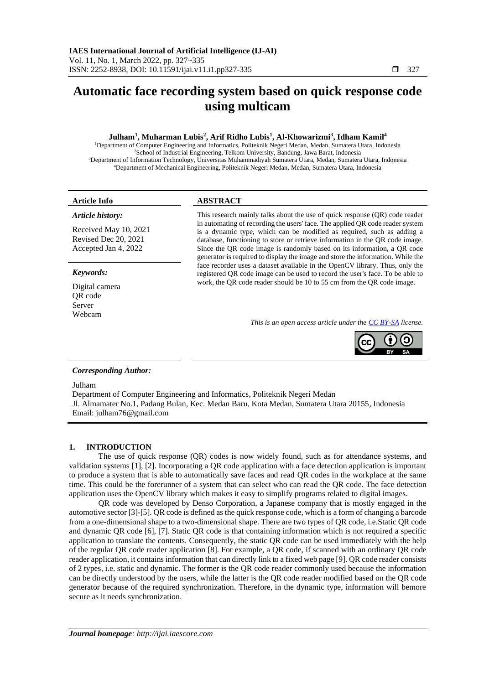# **Automatic face recording system based on quick response code using multicam**

# **Julham<sup>1</sup> , Muharman Lubis<sup>2</sup> , Arif Ridho Lubis<sup>1</sup> , Al-Khowarizmi<sup>3</sup> , Idham Kamil<sup>4</sup>**

Department of Computer Engineering and Informatics, Politeknik Negeri Medan, Medan, Sumatera Utara, Indonesia School of Industrial Engineering, Telkom University, Bandung, Jawa Barat, Indonesia Department of Information Technology, Universitas Muhammadiyah Sumatera Utara, Medan, Sumatera Utara, Indonesia Department of Mechanical Engineering, Politeknik Negeri Medan, Medan, Sumatera Utara, Indonesia

#### *Article history:*

Received May 10, 2021 Revised Dec 20, 2021 Accepted Jan 4, 2022

#### *Keywords:*

Digital camera QR code Server Webcam

# **Article Info ABSTRACT**

This research mainly talks about the use of quick response (QR) code reader in automating of recording the users' face. The applied QR code reader system is a dynamic type, which can be modified as required, such as adding a database, functioning to store or retrieve information in the QR code image. Since the QR code image is randomly based on its information, a QR code generator is required to display the image and store the information. While the face recorder uses a dataset available in the OpenCV library. Thus, only the registered QR code image can be used to record the user's face. To be able to work, the QR code reader should be 10 to 55 cm from the QR code image.

*This is an open access article under th[e CC BY-SA](https://creativecommons.org/licenses/by-sa/4.0/) license.*



#### *Corresponding Author:*

Julham

Department of Computer Engineering and Informatics, Politeknik Negeri Medan Jl. Almamater No.1, Padang Bulan, Kec. Medan Baru, Kota Medan, Sumatera Utara 20155, Indonesia Email: julham76@gmail.com

#### **1. INTRODUCTION**

The use of quick response (QR) codes is now widely found, such as for attendance systems, and validation systems [1], [2]. Incorporating a QR code application with a face detection application is important to produce a system that is able to automatically save faces and read QR codes in the workplace at the same time. This could be the forerunner of a system that can select who can read the QR code. The face detection application uses the OpenCV library which makes it easy to simplify programs related to digital images.

QR code was developed by Denso Corporation, a Japanese company that is mostly engaged in the automotive sector [3]-[5]. QR code is defined as the quick response code, which is a form of changing a barcode from a one-dimensional shape to a two-dimensional shape. There are two types of QR code, i.e.Static QR code and dynamic QR code [6], [7]. Static QR code is that containing information which is not required a specific application to translate the contents. Consequently, the static QR code can be used immediately with the help of the regular QR code reader application [8]. For example, a QR code, if scanned with an ordinary QR code reader application, it contains information that can directly link to a fixed web page [9]. QR code reader consists of 2 types, i.e. static and dynamic. The former is the QR code reader commonly used because the information can be directly understood by the users, while the latter is the QR code reader modified based on the QR code generator because of the required synchronization. Therefore, in the dynamic type, information will bemore secure as it needs synchronization.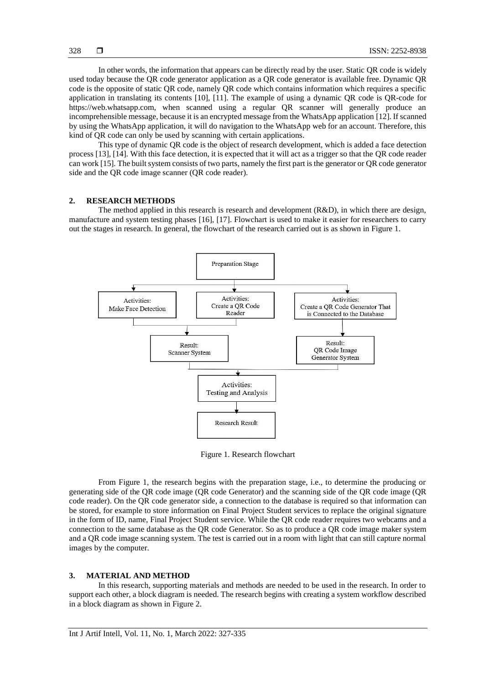In other words, the information that appears can be directly read by the user. Static QR code is widely used today because the QR code generator application as a QR code generator is available free. Dynamic QR code is the opposite of static QR code, namely QR code which contains information which requires a specific application in translating its contents [10], [11]. The example of using a dynamic QR code is QR-code for https://web.whatsapp.com, when scanned using a regular QR scanner will generally produce an incomprehensible message, because it is an encrypted message from the WhatsApp application [12]. If scanned by using the WhatsApp application, it will do navigation to the WhatsApp web for an account. Therefore, this kind of QR code can only be used by scanning with certain applications.

This type of dynamic QR code is the object of research development, which is added a face detection process [13], [14]. With this face detection, it is expected that it will act as a trigger so that the QR code reader can work [15]. The built system consists of two parts, namely the first part is the generator or QR code generator side and the QR code image scanner (QR code reader).

# **2. RESEARCH METHODS**

The method applied in this research is research and development (R&D), in which there are design, manufacture and system testing phases [16], [17]. Flowchart is used to make it easier for researchers to carry out the stages in research. In general, the flowchart of the research carried out is as shown in Figure 1.



Figure 1. Research flowchart

From Figure 1, the research begins with the preparation stage, i.e., to determine the producing or generating side of the QR code image (QR code Generator) and the scanning side of the QR code image (QR code reader). On the QR code generator side, a connection to the database is required so that information can be stored, for example to store information on Final Project Student services to replace the original signature in the form of ID, name, Final Project Student service. While the QR code reader requires two webcams and a connection to the same database as the QR code Generator. So as to produce a QR code image maker system and a QR code image scanning system. The test is carried out in a room with light that can still capture normal images by the computer.

## **3. MATERIAL AND METHOD**

In this research, supporting materials and methods are needed to be used in the research. In order to support each other, a block diagram is needed. The research begins with creating a system workflow described in a block diagram as shown in Figure 2.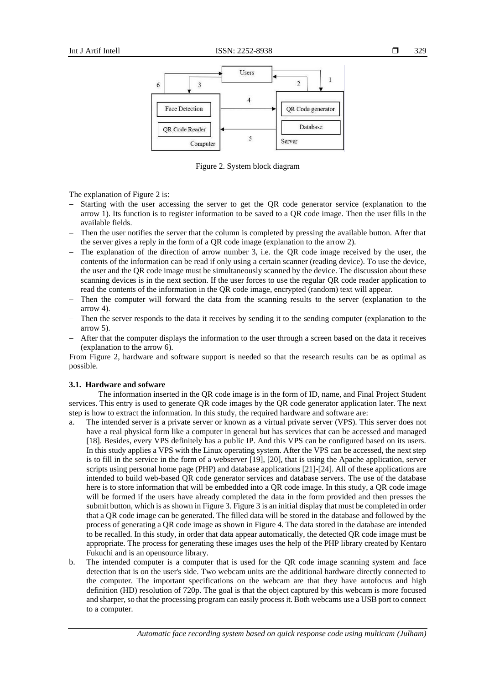

Figure 2. System block diagram

The explanation of Figure 2 is:

- Starting with the user accessing the server to get the QR code generator service (explanation to the arrow 1). Its function is to register information to be saved to a QR code image. Then the user fills in the available fields.
- Then the user notifies the server that the column is completed by pressing the available button. After that the server gives a reply in the form of a QR code image (explanation to the arrow 2).
- The explanation of the direction of arrow number 3, i.e. the QR code image received by the user, the contents of the information can be read if only using a certain scanner (reading device). To use the device, the user and the QR code image must be simultaneously scanned by the device. The discussion about these scanning devices is in the next section. If the user forces to use the regular QR code reader application to read the contents of the information in the QR code image, encrypted (random) text will appear.
- Then the computer will forward the data from the scanning results to the server (explanation to the arrow 4).
- Then the server responds to the data it receives by sending it to the sending computer (explanation to the arrow 5).
- − After that the computer displays the information to the user through a screen based on the data it receives (explanation to the arrow 6).

From Figure 2, hardware and software support is needed so that the research results can be as optimal as possible.

#### **3.1. Hardware and sofware**

The information inserted in the QR code image is in the form of ID, name, and Final Project Student services. This entry is used to generate QR code images by the QR code generator application later. The next step is how to extract the information. In this study, the required hardware and software are:

- a. The intended server is a private server or known as a virtual private server (VPS). This server does not have a real physical form like a computer in general but has services that can be accessed and managed [18]. Besides, every VPS definitely has a public IP. And this VPS can be configured based on its users. In this study applies a VPS with the Linux operating system. After the VPS can be accessed, the next step is to fill in the service in the form of a webserver [19], [20], that is using the Apache application, server scripts using personal home page (PHP) and database applications [21]-[24]. All of these applications are intended to build web-based QR code generator services and database servers. The use of the database here is to store information that will be embedded into a QR code image. In this study, a QR code image will be formed if the users have already completed the data in the form provided and then presses the submit button, which is as shown in Figure 3. Figure 3 is an initial display that must be completed in order that a QR code image can be generated. The filled data will be stored in the database and followed by the process of generating a QR code image as shown in Figure 4. The data stored in the database are intended to be recalled. In this study, in order that data appear automatically, the detected QR code image must be appropriate. The process for generating these images uses the help of the PHP library created by Kentaro Fukuchi and is an opensource library.
- b. The intended computer is a computer that is used for the QR code image scanning system and face detection that is on the user's side. Two webcam units are the additional hardware directly connected to the computer. The important specifications on the webcam are that they have autofocus and high definition (HD) resolution of 720p. The goal is that the object captured by this webcam is more focused and sharper, so that the processing program can easily process it. Both webcams use a USB port to connect to a computer.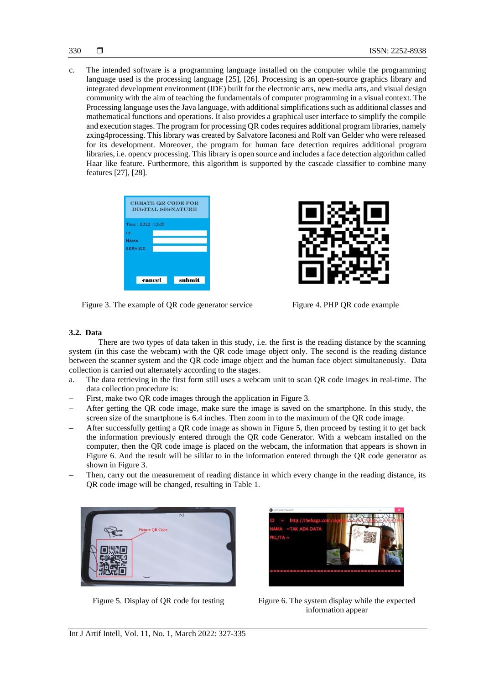c. The intended software is a programming language installed on the computer while the programming language used is the processing language [25], [26]. Processing is an open-source graphics library and integrated development environment (IDE) built for the electronic arts, new media arts, and visual design community with the aim of teaching the fundamentals of computer programming in a visual context. The Processing language uses the Java language, with additional simplifications such as additional classes and mathematical functions and operations. It also provides a graphical user interface to simplify the compile and execution stages. The program for processing QR codes requires additional program libraries, namely zxing4processing. This library was created by Salvatore Iaconesi and Rolf van Gelder who were released for its development. Moreover, the program for human face detection requires additional program libraries, i.e. opencv processing. This library is open source and includes a face detection algorithm called Haar like feature. Furthermore, this algorithm is supported by the cascade classifier to combine many features [27], [28].





Figure 3. The example of QR code generator service Figure 4. PHP QR code example

# **3.2. Data**

There are two types of data taken in this study, i.e. the first is the reading distance by the scanning system (in this case the webcam) with the QR code image object only. The second is the reading distance between the scanner system and the QR code image object and the human face object simultaneously. Data collection is carried out alternately according to the stages.

- a. The data retrieving in the first form still uses a webcam unit to scan QR code images in real-time. The data collection procedure is:
- First, make two QR code images through the application in Figure 3.
- After getting the OR code image, make sure the image is saved on the smartphone. In this study, the screen size of the smartphone is 6.4 inches. Then zoom in to the maximum of the QR code image.
- After successfully getting a QR code image as shown in Figure 5, then proceed by testing it to get back the information previously entered through the QR code Generator. With a webcam installed on the computer, then the QR code image is placed on the webcam, the information that appears is shown in Figure 6. And the result will be sililar to in the information entered through the QR code generator as shown in Figure 3.
- Then, carry out the measurement of reading distance in which every change in the reading distance, its QR code image will be changed, resulting in Table 1.





Figure 5. Display of QR code for testing Figure 6. The system display while the expected information appear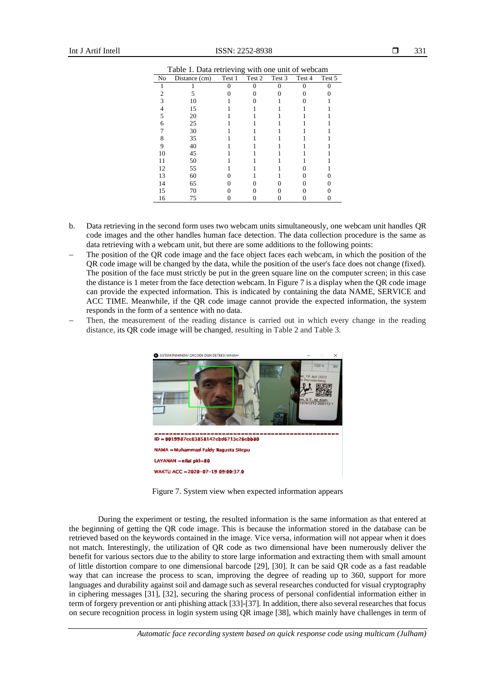Int J Artif Intell **ISSN:**  $2252-8938$ 

| Table 1. Data retrieving with one unit of webcam |               |        |        |        |        |        |  |
|--------------------------------------------------|---------------|--------|--------|--------|--------|--------|--|
| No                                               | Distance (cm) | Test 1 | Test 2 | Test 3 | Test 4 | Test 5 |  |
|                                                  |               |        |        |        |        |        |  |
|                                                  |               |        |        |        |        |        |  |
|                                                  | 10            |        |        |        |        |        |  |
|                                                  | 15            |        |        |        |        |        |  |
|                                                  | 20            |        |        |        |        |        |  |
| 6                                                | 25            |        |        |        |        |        |  |
|                                                  | 30            |        |        |        |        |        |  |
|                                                  | 35            |        |        |        |        |        |  |
|                                                  | 40            |        |        |        |        |        |  |
| 10                                               | 45            |        |        |        |        |        |  |
| 11                                               | 50            |        |        |        |        |        |  |
| 12                                               | 55            |        |        |        |        |        |  |
| 13                                               | 60            |        |        |        |        |        |  |
| 14                                               | 65            |        |        |        |        |        |  |
| 15                                               | 70            |        |        |        |        |        |  |
| 16                                               | 75            |        |        |        |        |        |  |

Table 1. Data retrieving with one unit of webcam

- b. Data retrieving in the second form uses two webcam units simultaneously, one webcam unit handles QR code images and the other handles human face detection. The data collection procedure is the same as data retrieving with a webcam unit, but there are some additions to the following points:
- The position of the OR code image and the face object faces each webcam, in which the position of the QR code image will be changed by the data, while the position of the user's face does not change (fixed). The position of the face must strictly be put in the green square line on the computer screen; in this case the distance is 1 meter from the face detection webcam. In Figure 7 is a display when the QR code image can provide the expected information. This is indicated by containing the data NAME, SERVICE and ACC TIME. Meanwhile, if the QR code image cannot provide the expected information, the system responds in the form of a sentence with no data.
- Then, the measurement of the reading distance is carried out in which every change in the reading distance, its QR code image will be changed, resulting in Table 2 and Table 3.



Figure 7. System view when expected information appears

During the experiment or testing, the resulted information is the same information as that entered at the beginning of getting the QR code image. This is because the information stored in the database can be retrieved based on the keywords contained in the image. Vice versa, information will not appear when it does not match. Interestingly, the utilization of QR code as two dimensional have been numerously deliver the benefit for various sectors due to the ability to store large information and extracting them with small amount of little distortion compare to one dimensional barcode [29], [30]. It can be said QR code as a fast readable way that can increase the process to scan, improving the degree of reading up to 360, support for more languages and durability against soil and damage such as several researches conducted for visual cryptography in ciphering messages [31], [32], securing the sharing process of personal confidential information either in term of forgery prevention or anti phishing attack [33]-[37]. In addition, there also several researches that focus on secure recognition process in login system using QR image [38], which mainly have challenges in term of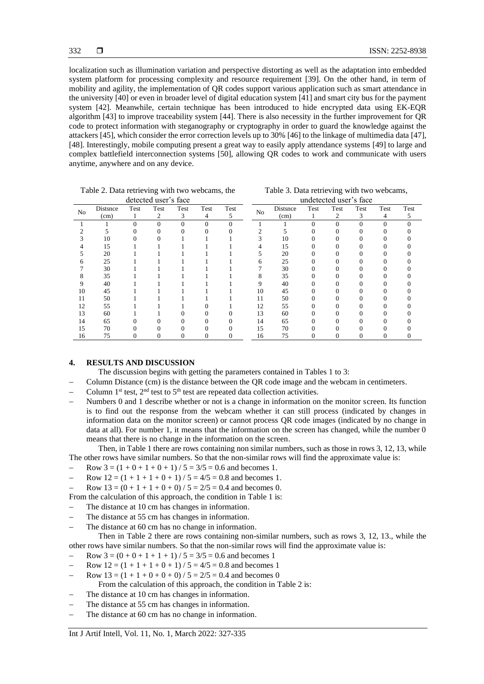localization such as illumination variation and perspective distorting as well as the adaptation into embedded system platform for processing complexity and resource requirement [39]. On the other hand, in term of mobility and agility, the implementation of QR codes support various application such as smart attendance in the university [40] or even in broader level of digital education system [41] and smart city bus for the payment system [42]. Meanwhile, certain technique has been introduced to hide encrypted data using EK-EQR algorithm [43] to improve traceability system [44]. There is also necessity in the further improvement for QR code to protect information with steganography or cryptography in order to guard the knowledge against the attackers [45], which consider the error correction levels up to 30% [46] to the linkage of multimedia data [47], [48]. Interestingly, mobile computing present a great way to easily apply attendance systems [49] to large and complex battlefield interconnection systems [50], allowing QR codes to work and communicate with users anytime, anywhere and on any device.

| Table 2. Data retrieving with two webcams, the |          |      |      |      | Table 3. Data retrieving with two webcams, |                        |                |          |      |      |      |      |      |
|------------------------------------------------|----------|------|------|------|--------------------------------------------|------------------------|----------------|----------|------|------|------|------|------|
| detected user's face                           |          |      |      |      |                                            | undetected user's face |                |          |      |      |      |      |      |
| N <sub>0</sub>                                 | Distance | Test | Test | Test | Test                                       | Test                   | N <sub>o</sub> | Distsnce | Test | Test | Test | Test | Test |
|                                                | (cm)     |      | 2    | 3    | 4                                          | 5                      |                | (cm)     |      | 2    | 3    | 4    |      |
|                                                |          |      |      |      | $\Omega$                                   |                        |                |          |      |      |      |      |      |
|                                                |          |      |      |      |                                            |                        |                |          |      |      |      |      |      |
|                                                | 10       |      |      |      |                                            |                        |                | 10       |      |      |      |      |      |
|                                                | 15       |      |      |      |                                            |                        |                | 15       |      |      |      |      |      |
|                                                | 20       |      |      |      |                                            |                        |                | 20       |      |      |      |      |      |
|                                                | 25       |      |      |      |                                            |                        |                | 25       |      |      |      |      |      |
|                                                | 30       |      |      |      |                                            |                        |                | 30       |      |      |      |      |      |
|                                                | 35       |      |      |      |                                            |                        |                | 35       |      |      |      |      |      |
|                                                | 40       |      |      |      |                                            |                        |                | 40       |      |      |      |      |      |
| 10                                             | 45       |      |      |      |                                            |                        | 10             | 45       |      |      |      |      |      |
|                                                | 50       |      |      |      |                                            |                        | 11             | 50       |      |      |      |      |      |
| 12                                             | 55       |      |      |      |                                            |                        | 12             | 55       |      |      |      |      |      |
| 13                                             | 60       |      |      |      |                                            |                        | 13             | 60       |      |      |      |      |      |
| 14                                             | 65       |      |      |      |                                            |                        | 14             | 65       |      |      |      |      |      |
| 15                                             | 70       |      |      |      |                                            |                        | 15             | 70       |      |      |      |      |      |
| 16                                             | 75       |      |      |      |                                            |                        | 16             | 75       |      |      |      |      |      |

Table 2. Data retrieving with two webcams, the  $detected$  user's  $f_3$ 

# **4. RESULTS AND DISCUSSION**

The discussion begins with getting the parameters contained in Tables 1 to 3:

- − Column Distance (cm) is the distance between the QR code image and the webcam in centimeters.
- Column 1<sup>st</sup> test,  $2<sup>nd</sup>$  test to  $5<sup>th</sup>$  test are repeated data collection activities.
- Numbers 0 and 1 describe whether or not is a change in information on the monitor screen. Its function is to find out the response from the webcam whether it can still process (indicated by changes in information data on the monitor screen) or cannot process QR code images (indicated by no change in data at all). For number 1, it means that the information on the screen has changed, while the number 0 means that there is no change in the information on the screen.

Then, in Table 1 there are rows containing non similar numbers, such as those in rows 3, 12, 13, while The other rows have similar numbers. So that the non-similar rows will find the approximate value is:

- Row  $3 = (1 + 0 + 1 + 0 + 1) / 5 = 3/5 = 0.6$  and becomes 1.
- $\text{Row } 12 = (1 + 1 + 1 + 0 + 1) / 5 = 4/5 = 0.8 \text{ and becomes } 1.$
- Row  $13 = (0 + 1 + 1 + 0 + 0) / 5 = 2/5 = 0.4$  and becomes 0.

From the calculation of this approach, the condition in Table 1 is:

- The distance at 10 cm has changes in information.
- The distance at 55 cm has changes in information.
- The distance at 60 cm has no change in information.

Then in Table 2 there are rows containing non-similar numbers, such as rows 3, 12, 13., while the other rows have similar numbers. So that the non-similar rows will find the approximate value is:

- Row  $3 = (0 + 0 + 1 + 1 + 1) / 5 = 3/5 = 0.6$  and becomes 1
- Row  $12 = (1 + 1 + 1 + 0 + 1) / 5 = 4/5 = 0.8$  and becomes 1
- Row  $13 = (1 + 1 + 0 + 0 + 0) / 5 = 2/5 = 0.4$  and becomes 0
- From the calculation of this approach, the condition in Table 2 is:
- The distance at 10 cm has changes in information.
- The distance at 55 cm has changes in information.
- The distance at 60 cm has no change in information.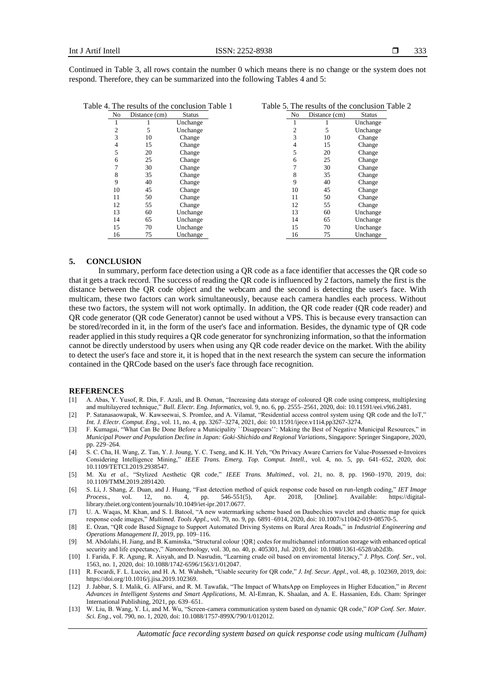Continued in Table 3, all rows contain the number 0 which means there is no change or the system does not respond. Therefore, they can be summarized into the following Tables 4 and 5:

| No. | Distance (cm) | <b>Status</b> | N <sub>o</sub> | Distance (cm) | <b>Status</b> |
|-----|---------------|---------------|----------------|---------------|---------------|
|     |               | Unchange      |                |               | Unchange      |
|     | 5             | Unchange      |                | 5             | Unchange      |
| 3   | 10            | Change        | 3              | 10            | Change        |
| 4   | 15            | Change        | 4              | 15            | Change        |
|     | 20            | Change        |                | 20            | Change        |
| 6   | 25            | Change        | 6              | 25            | Change        |
|     | 30            | Change        |                | 30            | Change        |
| 8   | 35            | Change        | 8              | 35            | Change        |
| 9   | 40            | Change        | 9              | 40            | Change        |
| 10  | 45            | Change        | 10             | 45            | Change        |
| 11  | 50            | Change        | 11             | 50            | Change        |
| 12  | 55            | Change        | 12             | 55            | Change        |
| 13  | 60            | Unchange      | 13             | 60            | Unchange      |
| 14  | 65            | Unchange      | 14             | 65            | Unchange      |
| 15  | 70            | Unchange      | 15             | 70            | Unchange      |
| 16  | 75            | Unchange      | 16             | 75            | Unchange      |

#### **5. CONCLUSION**

In summary, perform face detection using a QR code as a face identifier that accesses the QR code so that it gets a track record. The success of reading the QR code is influenced by 2 factors, namely the first is the distance between the QR code object and the webcam and the second is detecting the user's face. With multicam, these two factors can work simultaneously, because each camera handles each process. Without these two factors, the system will not work optimally. In addition, the QR code reader (QR code reader) and QR code generator (QR code Generator) cannot be used without a VPS. This is because every transaction can be stored/recorded in it, in the form of the user's face and information. Besides, the dynamic type of QR code reader applied in this study requires a QR code generator for synchronizing information, so that the information cannot be directly understood by users when using any QR code reader device on the market. With the ability to detect the user's face and store it, it is hoped that in the next research the system can secure the information contained in the QRCode based on the user's face through face recognition.

#### **REFERENCES**

- [1] A. Abas, Y. Yusof, R. Din, F. Azali, and B. Osman, "Increasing data storage of coloured QR code using compress, multiplexing and multilayered technique," *Bull. Electr. Eng. Informatics*, vol. 9, no. 6, pp. 2555–2561, 2020, doi: 10.11591/eei.v9i6.2481.
- [2] P. Satanasaowapak, W. Kawseewai, S. Promlee, and A. Vilamat, "Residential access control system using QR code and the IoT," *Int. J. Electr. Comput. Eng.*, vol. 11, no. 4, pp. 3267–3274, 2021, doi: 10.11591/ijece.v11i4.pp3267-3274.
- [3] F. Kumagai, "What Can Be Done Before a Municipality ``Disappears'': Making the Best of Negative Municipal Resources," in *Municipal Power and Population Decline in Japan: Goki-Shichido and Regional Variations*, Singapore: Springer Singapore, 2020, pp. 229–264.
- [4] S. C. Cha, H. Wang, Z. Tan, Y. J. Joung, Y. C. Tseng, and K. H. Yeh, "On Privacy Aware Carriers for Value-Possessed e-Invoices Considering Intelligence Mining," *IEEE Trans. Emerg. Top. Comput. Intell.*, vol. 4, no. 5, pp. 641–652, 2020, doi: 10.1109/TETCI.2019.2938547.
- [5] M. Xu *et al.*, "Stylized Aesthetic QR code," *IEEE Trans. Multimed.*, vol. 21, no. 8, pp. 1960–1970, 2019, doi: 10.1109/TMM.2019.2891420.
- [6] S. Li, J. Shang, Z. Duan, and J. Huang, "Fast detection method of quick response code based on run-length coding," *IET Image Process.*, vol. 12, no. 4, pp. 546-551(5), Apr. 2018, [Online]. Available: https://digitallibrary.theiet.org/content/journals/10.1049/iet-ipr.2017.0677.
- [7] U. A. Waqas, M. Khan, and S. I. Batool, "A new watermarking scheme based on Daubechies wavelet and chaotic map for quick response code images," *Multimed. Tools Appl.*, vol. 79, no. 9, pp. 6891–6914, 2020, doi: 10.1007/s11042-019-08570-5.
- [8] E. Ozan, "QR code Based Signage to Support Automated Driving Systems on Rural Area Roads," in *Industrial Engineering and Operations Management II*, 2019, pp. 109–116.
- [9] M. Abdolahi, H. Jiang, and B. Kaminska, "Structural colour {QR} codes for multichannel information storage with enhanced optical security and life expectancy," *Nanotechnology*, vol. 30, no. 40, p. 405301, Jul. 2019, doi: 10.1088/1361-6528/ab2d3b.
- [10] I. Farida, F. R. Agung, R. Aisyah, and D. Nasrudin, "Learning crude oil based on enviromental literacy," *J. Phys. Conf. Ser.*, vol. 1563, no. 1, 2020, doi: 10.1088/1742-6596/1563/1/012047.
- [11] R. Focardi, F. L. Luccio, and H. A. M. Wahsheh, "Usable security for QR code," *J. Inf. Secur. Appl.*, vol. 48, p. 102369, 2019, doi: https://doi.org/10.1016/j.jisa.2019.102369.
- [12] J. Jabbar, S. I. Malik, G. AlFarsi, and R. M. Tawafak, "The Impact of WhatsApp on Employees in Higher Education," in *Recent Advances in Intelligent Systems and Smart Applications*, M. Al-Emran, K. Shaalan, and A. E. Hassanien, Eds. Cham: Springer International Publishing, 2021, pp. 639–651.
- [13] W. Liu, B. Wang, Y. Li, and M. Wu, "Screen-camera communication system based on dynamic QR code," *IOP Conf. Ser. Mater. Sci. Eng.*, vol. 790, no. 1, 2020, doi: 10.1088/1757-899X/790/1/012012.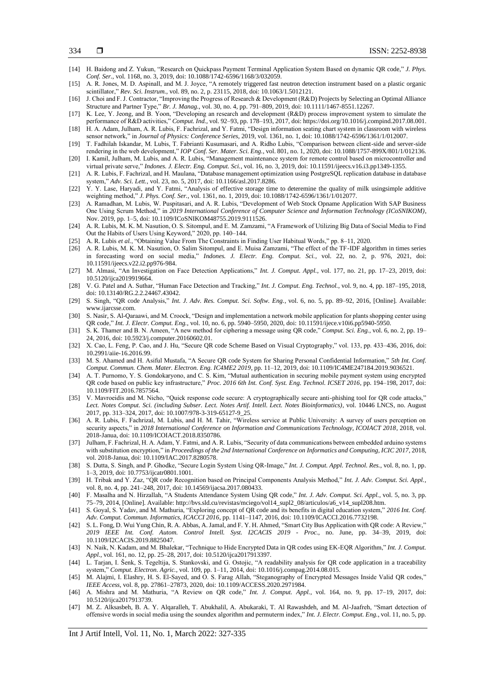- 334
- [14] H. Baidong and Z. Yukun, "Research on Quickpass Payment Terminal Application System Based on dynamic QR code," *J. Phys. Conf. Ser.*, vol. 1168, no. 3, 2019, doi: 10.1088/1742-6596/1168/3/032059.
- [15] A. R. Jones, M. D. Aspinall, and M. J. Joyce, "A remotely triggered fast neutron detection instrument based on a plastic organic scintillator," *Rev. Sci. Instrum.*, vol. 89, no. 2, p. 23115, 2018, doi: 10.1063/1.5012121.
- [16] J. Choi and F. J. Contractor, "Improving the Progress of Research & Development (R&D) Projects by Selecting an Optimal Alliance Structure and Partner Type," *Br. J. Manag.*, vol. 30, no. 4, pp. 791–809, 2019, doi: 10.1111/1467-8551.12267.
- [17] K. Lee, Y. Jeong, and B. Yoon, "Developing an research and development (R&D) process improvement system to simulate the performance of R&D activities," *Comput. Ind.*, vol. 92–93, pp. 178–193, 2017, doi: https://doi.org/10.1016/j.compind.2017.08.001.
- [18] H. A. Adam, Julham, A. R. Lubis, F. Fachrizal, and Y. Fatmi, "Design information seating chart system in classroom with wireless sensor network," in *Journal of Physics: Conference Series*, 2019, vol. 1361, no. 1, doi: 10.1088/1742-6596/1361/1/012007.
- [19] T. Fadhilah Iskandar, M. Lubis, T. Fabrianti Kusumasari, and A. Ridho Lubis, "Comparison between client-side and server-side rendering in the web development," *IOP Conf. Ser. Mater. Sci. Eng.*, vol. 801, no. 1, 2020, doi: 10.1088/1757-899X/801/1/012136.
- [20] I. Kamil, Julham, M. Lubis, and A. R. Lubis, "Management maintenance system for remote control based on microcontroller and virtual private serve," *Indones. J. Electr. Eng. Comput. Sci.*, vol. 16, no. 3, 2019, doi: 10.11591/ijeecs.v16.i3.pp1349-1355.
- [21] A. R. Lubis, F. Fachrizal, and H. Maulana, "Database management optimization using PostgreSQL replication database in database system," *Adv. Sci. Lett.*, vol. 23, no. 5, 2017, doi: 10.1166/asl.2017.8286.
- [22] Y. Y. Lase, Haryadi, and Y. Fatmi, "Analysis of effective storage time to deteremine the quality of milk usingsimple additive weighting method," *J. Phys. Conf. Ser.*, vol. 1361, no. 1, 2019, doi: 10.1088/1742-6596/1361/1/012077.
- [23] A. Ramadhan, M. Lubis, W. Puspitasari, and A. R. Lubis, "Development of Web Stock Opname Application With SAP Business One Using Scrum Method," in *2019 International Conference of Computer Science and Information Technology (ICoSNIKOM)*, Nov. 2019, pp. 1–5, doi: 10.1109/ICoSNIKOM48755.2019.9111526.
- [24] A. R. Lubis, M. K. M. Nasution, O. S. Sitompul, and E. M. Zamzami, "A Framework of Utilizing Big Data of Social Media to Find Out the Habits of Users Using Keyword," 2020, pp. 140–144.
- [25] A. R. Lubis *et al.*, "Obtaining Value From The Constraints in Finding User Habitual Words," pp. 8–11, 2020.
- [26] A. R. Lubis, M. K. M. Nasution, O. Salim Sitompul, and E. Muisa Zamzami, "The effect of the TF-IDF algorithm in times series in forecasting word on social media," *Indones. J. Electr. Eng. Comput. Sci.*, vol. 22, no. 2, p. 976, 2021, doi: 10.11591/ijeecs.v22.i2.pp976-984.
- [27] M. Almasi, "An Investigation on Face Detection Applications," *Int. J. Comput. Appl.*, vol. 177, no. 21, pp. 17–23, 2019, doi: 10.5120/ijca2019919664.
- [28] V. G. Patel and A. Suthar, "Human Face Detection and Tracking," *Int. J. Comput. Eng. Technol.*, vol. 9, no. 4, pp. 187–195, 2018, doi: 10.13140/RG.2.2.24467.43042.
- [29] S. Singh, "QR code Analysis," *Int. J. Adv. Res. Comput. Sci. Softw. Eng.*, vol. 6, no. 5, pp. 89–92, 2016, [Online]. Available: www.ijarcsse.com.
- [30] S. Nasir, S. Al-Qaraawi, and M. Croock, "Design and implementation a network mobile application for plants shopping center using QR code," *Int. J. Electr. Comput. Eng.*, vol. 10, no. 6, pp. 5940–5950, 2020, doi: 10.11591/ijece.v10i6.pp5940-5950.
- [31] S. K. Thamer and B. N. Ameen, "A new method for ciphering a message using QR code," *Comput. Sci. Eng.*, vol. 6, no. 2, pp. 19– 24, 2016, doi: 10.5923/j.computer.20160602.01.
- [32] X. Cao, L. Feng, P. Cao, and J. Hu, "Secure QR code Scheme Based on Visual Cryptography," vol. 133, pp. 433–436, 2016, doi: 10.2991/aiie-16.2016.99.
- [33] M. S. Ahamed and H. Asiful Mustafa, "A Secure QR code System for Sharing Personal Confidential Information," *5th Int. Conf. Comput. Commun. Chem. Mater. Electron. Eng. IC4ME2 2019*, pp. 11–12, 2019, doi: 10.1109/IC4ME247184.2019.9036521.
- [34] A. T. Purnomo, Y. S. Gondokaryono, and C. S. Kim, "Mutual authentication in securing mobile payment system using encrypted QR code based on public key infrastructure," *Proc. 2016 6th Int. Conf. Syst. Eng. Technol. ICSET 2016*, pp. 194–198, 2017, doi: 10.1109/FIT.2016.7857564.
- [35] V. Mavroeidis and M. Nicho, "Quick response code secure: A cryptographically secure anti-phishing tool for QR code attacks," *Lect. Notes Comput. Sci. (including Subser. Lect. Notes Artif. Intell. Lect. Notes Bioinformatics)*, vol. 10446 LNCS, no. August 2017, pp. 313–324, 2017, doi: 10.1007/978-3-319-65127-9\_25.
- [36] A. R. Lubis, F. Fachrizal, M. Lubis, and H. M. Tahir, "Wireless service at Public University: A survey of users perception on security aspects," in *2018 International Conference on Information and Communications Technology, ICOIACT 2018*, 2018, vol. 2018-Janua, doi: 10.1109/ICOIACT.2018.8350786.
- [37] Julham, F. Fachrizal, H. A. Adam, Y. Fatmi, and A. R. Lubis, "Security of data communications between embedded arduino systems with substitution encryption," in *Proceedings of the 2nd International Conference on Informatics and Computing, ICIC 2017*, 2018, vol. 2018-Janua, doi: 10.1109/IAC.2017.8280578.
- [38] S. Dutta, S. Singh, and P. Ghodke, "Secure Login System Using QR-Image," *Int. J. Comput. Appl. Technol. Res.*, vol. 8, no. 1, pp. 1–3, 2019, doi: 10.7753/ijcatr0801.1001.
- [39] H. Tribak and Y. Zaz, "QR code Recognition based on Principal Components Analysis Method," *Int. J. Adv. Comput. Sci. Appl.*, vol. 8, no. 4, pp. 241–248, 2017, doi: 10.14569/ijacsa.2017.080433.
- [40] F. Masalha and N. Hirzallah, "A Students Attendance System Using QR code," *Int. J. Adv. Comput. Sci. Appl.*, vol. 5, no. 3, pp. 75–79, 2014, [Online]. Available: http://bvs.sld.cu/revistas/mciego/vol14\_supl2\_08/articulos/a6\_v14\_supl208.htm.
- [41] S. Goyal, S. Yadav, and M. Mathuria, "Exploring concept of QR code and its benefits in digital education system," *2016 Int. Conf. Adv. Comput. Commun. Informatics, ICACCI 2016*, pp. 1141–1147, 2016, doi: 10.1109/ICACCI.2016.7732198.
- [42] S. L. Fong, D. Wui Yung Chin, R. A. Abbas, A. Jamal, and F. Y. H. Ahmed, "Smart City Bus Application with QR code: A Review," *2019 IEEE Int. Conf. Autom. Control Intell. Syst. I2CACIS 2019 - Proc.*, no. June, pp. 34–39, 2019, doi: 10.1109/I2CACIS.2019.8825047.
- [43] N. Naik, N. Kadam, and M. Bhalekar, "Technique to Hide Encrypted Data in QR codes using EK-EQR Algorithm," *Int. J. Comput. Appl.*, vol. 161, no. 12, pp. 25–28, 2017, doi: 10.5120/ijca2017913397.
- [44] L. Tarjan, I. Šenk, S. Tegeltija, S. Stankovski, and G. Ostojic, "A readability analysis for QR code application in a traceability system," *Comput. Electron. Agric.*, vol. 109, pp. 1–11, 2014, doi: 10.1016/j.compag.2014.08.015.
- [45] M. Alajmi, I. Elashry, H. S. El-Sayed, and O. S. Farag Allah, "Steganography of Encrypted Messages Inside Valid QR codes," *IEEE Access*, vol. 8, pp. 27861–27873, 2020, doi: 10.1109/ACCESS.2020.2971984.
- [46] A. Mishra and M. Mathuria, "A Review on QR code," *Int. J. Comput. Appl.*, vol. 164, no. 9, pp. 17–19, 2017, doi: 10.5120/ijca2017913739.
- [47] M. Z. Alksasbeh, B. A. Y. Alqaralleh, T. Abukhalil, A. Abukaraki, T. Al Rawashdeh, and M. Al-Jaafreh, "Smart detection of offensive words in social media using the soundex algorithm and permuterm index," *Int. J. Electr. Comput. Eng.*, vol. 11, no. 5, pp.